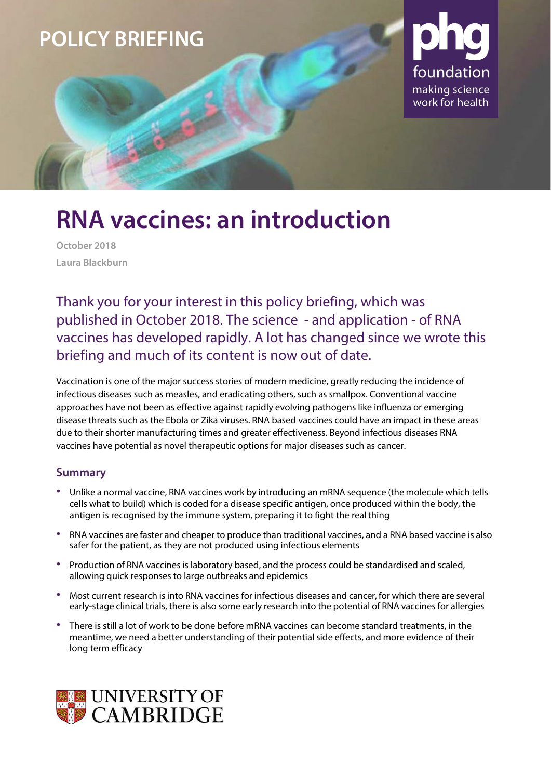

# **RNA vaccines: an introduction**

**October 2018 Laura Blackburn**

Thank you for your interest in this policy briefing, which was published in October 2018. The science - and application - of RNA vaccines has developed rapidly. A lot has changed since we wrote this briefing and much of its content is now out of date.

Vaccination is one of the major success stories of modern medicine, greatly reducing the incidence of infectious diseases such as measles, and eradicating others, such as smallpox. Conventional vaccine approaches have not been as effective against rapidly evolving pathogens like influenza or emerging disease threats such as the Ebola or Zika viruses. RNA based vaccines could have an impact in these areas due to their shorter manufacturing times and greater effectiveness. Beyond infectious diseases RNA vaccines have potential as novel therapeutic options for major diseases such as cancer.

### **Summary**

- Unlike <sup>a</sup> normal vaccine, RNA vaccines work by introducing an mRNA sequence (the molecule which tells cells what to build) which is coded for a disease specific antigen, once produced within the body, the antigen is recognised by the immune system, preparing it to fight the real thing
- RNA vaccines are faster and cheaper to produce than traditional vaccines, and <sup>a</sup> RNA based vaccine is also safer for the patient, as they are not produced using infectious elements
- Production of RNA vaccines is laboratory based, and the process could be standardised and scaled, allowing quick responses to large outbreaks and epidemics
- Most current research isinto RNA vaccinesfor infectious diseases and cancer, for which there are several early-stage clinical trials, there is also some early research into the potential of RNA vaccinesfor allergies
- There is still a lot of work to be done before mRNA vaccines can become standard treatments, in the meantime, we need a better understanding of their potential side effects, and more evidence of their long term efficacy

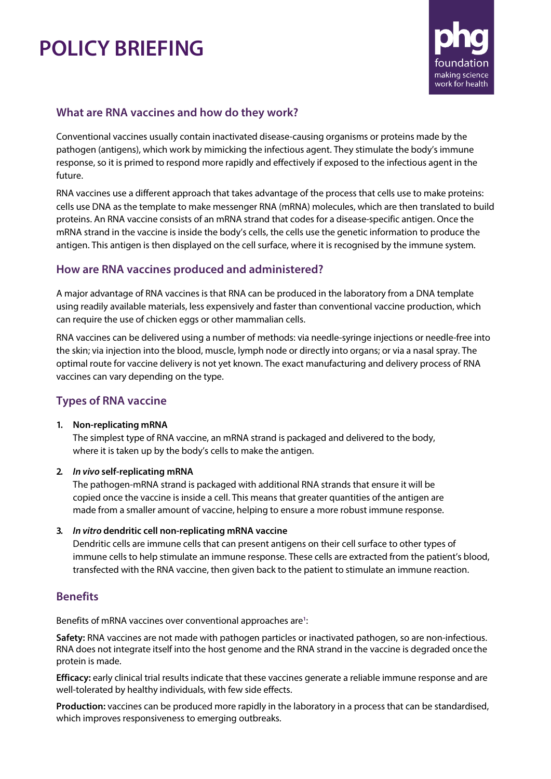# **POLICY BRIEFING**



## **What are RNA vaccines and how do they work?**

Conventional vaccines usually contain inactivated disease-causing organisms or proteins made by the pathogen (antigens), which work by mimicking the infectious agent. They stimulate the body's immune response, so it is primed to respond more rapidly and effectively if exposed to the infectious agent in the future.

RNA vaccines use a different approach that takes advantage of the process that cells use to make proteins: cells use DNA as the template to make messenger RNA (mRNA) molecules, which are then translated to build proteins. An RNA vaccine consists of an mRNA strand that codes for a disease-specific antigen. Once the mRNA strand in the vaccine is inside the body's cells, the cells use the genetic information to produce the antigen. This antigen is then displayed on the cell surface, where it is recognised by the immune system.

### **How are RNA vaccines produced and administered?**

A major advantage of RNA vaccines is that RNA can be produced in the laboratory from a DNA template using readily available materials, less expensively and faster than conventional vaccine production, which can require the use of chicken eggs or other mammalian cells.

RNA vaccines can be delivered using a number of methods: via needle-syringe injections or needle-free into the skin; via injection into the blood, muscle, lymph node or directly into organs; or via a nasal spray. The optimal route for vaccine delivery is not yet known. The exact manufacturing and delivery process of RNA vaccines can vary depending on the type.

# **Types of RNA vaccine**

### **1. Non-replicating mRNA**

The simplest type of RNA vaccine, an mRNA strand is packaged and delivered to the body, where it is taken up by the body's cells to make the antigen.

### **2.** *In vivo* **self-replicating mRNA**

The pathogen-mRNA strand is packaged with additional RNA strands that ensure it will be copied once the vaccine is inside a cell. This means that greater quantities of the antigen are made from a smaller amount of vaccine, helping to ensure a more robust immune response.

### **3.** *In vitro* **dendritic cell non-replicating mRNA vaccine**

Dendritic cells are immune cells that can present antigens on their cell surface to other types of immune cells to help stimulate an immune response. These cells are extracted from the patient's blood, transfected with the RNA vaccine, then given back to the patient to stimulate an immune reaction.

### **Benefits**

Benefits of mRNA vaccines over conventional approaches ar[e](#page-3-0)**<sup>1</sup>** :

**Safety:** RNA vaccines are not made with pathogen particles or inactivated pathogen, so are non-infectious. RNA does not integrate itself into the host genome and the RNA strand in the vaccine is degraded once the protein is made.

**Efficacy:** early clinical trial results indicate that these vaccines generate a reliable immune response and are well-tolerated by healthy individuals, with few side effects.

**Production:** vaccines can be produced more rapidly in the laboratory in a process that can be standardised, which improves responsiveness to emerging outbreaks.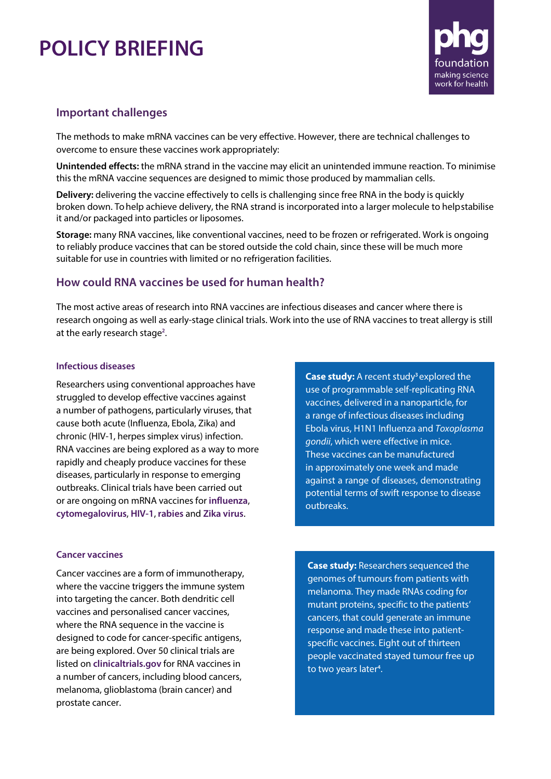# **POLICY BRIEFING**



### **Important challenges**

The methods to make mRNA vaccines can be very effective. However, there are technical challenges to overcome to ensure these vaccines work appropriately:

**Unintended effects:** the mRNA strand in the vaccine may elicit an unintended immune reaction. To minimise this the mRNA vaccine sequences are designed to mimic those produced by mammalian cells.

**Delivery:** delivering the vaccine effectively to cells is challenging since free RNA in the body is quickly broken down. To help achieve delivery, the RNA strand is incorporated into a larger molecule to helpstabilise it and/or packaged into particles or liposomes.

**Storage:** many RNA vaccines, like conventional vaccines, need to be frozen or refrigerated. Work is ongoing to reliably produce vaccines that can be stored outside the cold chain, since these will be much more suitable for use in countries with limited or no refrigeration facilities.

### **How could RNA vaccines be used for human health?**

The most active areas of research into RNA vaccines are infectious diseases and cancer where there is research ongoing as well as early-stage clinical trials. Work into the use of RNA vaccines to treat allergy is still at the early research stage**<sup>2</sup>** [.](#page-3-1)

#### **Infectious diseases**

Researchers using conventional approaches have struggled to develop effective vaccines against a number of pathogens, particularly viruses, that cause both acute (Influenza, Ebola, Zika) and chronic (HIV-1, herpes simplex virus) infection. RNA vaccines are being explored as a way to more rapidly and cheaply produce vaccines for these diseases, particularly in response to emerging outbreaks. Clinical trials have been carried out or are ongoing on mRNA vaccines for **[influenza](https://clinicaltrials.gov/ct2/show/NCT03076385)**, **[cytomegalovirus](https://clinicaltrials.gov/show/NCT03382405)**, **[HIV-1](https://clinicaltrials.gov/show/NCT00833781)**, **[rabies](https://clinicaltrials.gov/show/NCT02241135)** and **[Zika virus](https://clinicaltrials.gov/show/NCT03014089)**.

#### **Cancer vaccines**

Cancer vaccines are a form of immunotherapy, where the vaccine triggers the immune system into targeting the cancer. Both dendritic cell vaccines and personalised cancer vaccines, where the RNA sequence in the vaccine is designed to code for cancer-specific antigens, are being explored. Over 50 clinical trials are listed on **[clinicaltrials.gov](https://clinicaltrials.gov/ct2/results?cond=Cancer&term=mRNA%2Bvaccine&cntry&state&city&dist)** for RNA vaccines in a number of cancers, including blood cancers, melanoma, glioblastoma (brain cancer) and prostate cancer.

**Case stud[y](#page-3-0):** A recent study<sup>3</sup> explored the use of programmable self-replicating RNA vaccines, delivered in a nanoparticle, for a range of infectious diseases including Ebola virus, H1N1 Influenza and *Toxoplasma gondii*, which were effective in mice. These vaccines can be manufactured in approximately one week and made against a range of diseases, demonstrating potential terms of swift response to disease outbreaks.

**Case study:** Researchers sequenced the genomes of tumours from patients with melanoma. They made RNAs coding for mutant proteins, specific to the patients' cancers, that could generate an immune response and made these into patientspecific vaccines. Eight out of thirteen people vaccinated stayed tumour free up to two years late[r](#page-3-2)**<sup>4</sup>** .